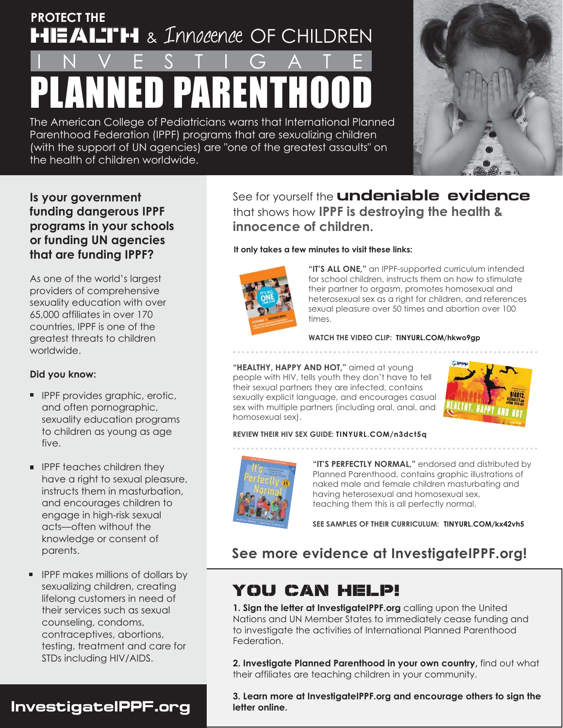# **PROTECT THE HEALTH** & Innocence OF CHILDREN

# PLANNED PARENTHOOD INVESTIGATE

The American College of Pediatricians warns that International Planned Parenthood Federation (IPPF) programs that are sexualizing children (with the support of UN agencies) are "one of the greatest assaults" on the health of children worldwide.



### **Is your government funding dangerous IPPF programs in your schools or funding UN agencies that are funding IPPF?**

As one of the world's largest providers of comprehensive sexuality education with over 65,000 affiliates in over 170 countries, IPPF is one of the greatest threats to children worldwide.

### **Did you know:**

- **IPPF provides graphic, erotic,** and often pornographic, sexuality education programs to children as young as age five.
- **PRF** teaches children they have a right to sexual pleasure, instructs them in masturbation, and encourages children to engage in high-risk sexual acts—often without the knowledge or consent of parents.
- **IFPF makes millions of dollars by** sexualizing children, creating lifelong customers in need of their services such as sexual counseling, condoms, contraceptives, abortions, testing, treatment and care for STDs including HIV/AIDS.

**InvestigateIPPF.org letter online.** 

See for yourself the **undeniable evidence** that shows how **IPPF is destroying the health & innocence of children.** 

### **It only takes a few minutes to visit these links:**



**"IT'S ALL ONE,"** an IPPF-supported curriculum intended for school children, instructs them on how to stimulate their partner to orgasm, promotes homosexual and heterosexual sex as a right for children, and references sexual pleasure over 50 times and abortion over 100 times.

**WATCH THE VIDEO CLIP: TINYURL.COM/hkwo9gp** 

. . . . . . . . . . . . . . . . . . . . . . . . . . . . . . . . . . . . . . . . . . . . . . . . . . . . . . . . . . . . . . . . . . .

**"HEALTHY, HAPPY AND HOT,"** aimed at young people with HIV, tells youth they don't have to tell their sexual partners they are infected, contains sexually explicit language, and encourages casual sex with multiple partners (including oral, anal, and homosexual sex).



### **REVIEW THEIR HIV SEX GUIDE: TINYURL.COM/n3dct5q**



**"IT'S PERFECTLY NORMAL,"** endorsed and distributed by Planned Parenthood, contains graphic illustrations of naked male and female children masturbating and having heterosexual and homosexual sex, teaching them this is all perfectly normal.

**SEE SAMPLES OF THEIR CURRICULUM: TINYURL.COM/kx42vh5**

## **See more evidence at InvestigateIPPF.org!**

# YOU CAN HELP!

1. Sign the letter at InvestigateIPPF.org calling upon the United Nations and UN Member States to immediately cease funding and to investigate the activities of International Planned Parenthood Federation.

**2. Investigate Planned Parenthood in your own country,** find out what their affiliates are teaching children in your community.

**3. Learn more at InvestigateIPPF.org and encourage others to sign the**